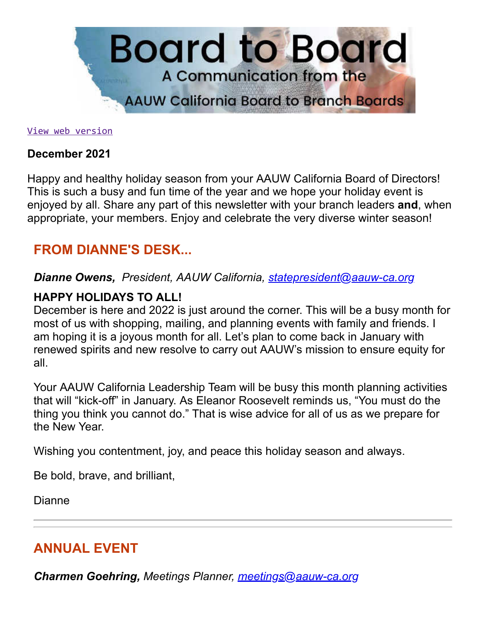

[View web version](https://bor.aauw-ca.org/sendy/w/FvN7InViNGKoU1Ic8Tohpg)

#### **December 2021**

Happy and healthy holiday season from your AAUW California Board of Directors! This is such a busy and fun time of the year and we hope your holiday event is enjoyed by all. Share any part of this newsletter with your branch leaders **and**, when appropriate, your members. Enjoy and celebrate the very diverse winter season!

### **FROM DIANNE'S DESK...**

*Dianne Owens, President, AAUW California, [statepresident@aauw-ca.org](mailto:statepresident@aauw-ca.org)*

#### **HAPPY HOLIDAYS TO ALL!**

December is here and 2022 is just around the corner. This will be a busy month for most of us with shopping, mailing, and planning events with family and friends. I am hoping it is a joyous month for all. Let's plan to come back in January with renewed spirits and new resolve to carry out AAUW's mission to ensure equity for all.

Your AAUW California Leadership Team will be busy this month planning activities that will "kick-off" in January. As Eleanor Roosevelt reminds us, "You must do the thing you think you cannot do." That is wise advice for all of us as we prepare for the New Year.

Wishing you contentment, joy, and peace this holiday season and always.

Be bold, brave, and brilliant,

Dianne

## **ANNUAL EVENT**

*Charmen Goehring, Meetings Planner, [meetings@aauw-ca.org](mailto:meetings@aauw-ca.org)*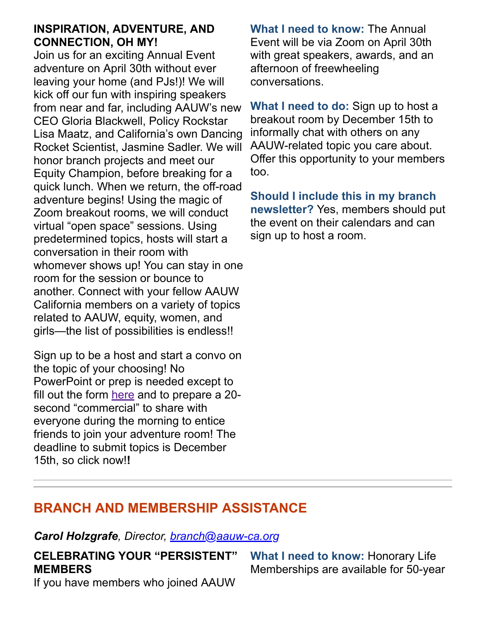#### **INSPIRATION, ADVENTURE, AND CONNECTION, OH MY!**

Join us for an exciting Annual Event adventure on April 30th without ever leaving your home (and PJs!)! We will kick off our fun with inspiring speakers from near and far, including AAUW's new CEO Gloria Blackwell, Policy Rockstar Lisa Maatz, and California's own Dancing Rocket Scientist, Jasmine Sadler. We will honor branch projects and meet our Equity Champion, before breaking for a quick lunch. When we return, the off-road adventure begins! Using the magic of Zoom breakout rooms, we will conduct virtual "open space" sessions. Using predetermined topics, hosts will start a conversation in their room with whomever shows up! You can stay in one room for the session or bounce to another. Connect with your fellow AAUW California members on a variety of topics related to AAUW, equity, women, and girls—the list of possibilities is endless!!

Sign up to be a host and start a convo on the topic of your choosing! No PowerPoint or prep is needed except to fill out the form [here](https://www.surveymonkey.com/r/5CSDKD8) and to prepare a 20 second "commercial" to share with everyone during the morning to entice friends to join your adventure room! The deadline to submit topics is December 15th, so click now!**!**

**What I need to know:** The Annual Event will be via Zoom on April 30th with great speakers, awards, and an afternoon of freewheeling conversations.

**What I need to do:** Sign up to host a breakout room by December 15th to informally chat with others on any AAUW-related topic you care about. Offer this opportunity to your members too.

**Should I include this in my branch newsletter?** Yes, members should put the event on their calendars and can sign up to host a room.

## **BRANCH AND MEMBERSHIP ASSISTANCE**

*Carol Holzgrafe, Director, [branch@aauw-ca.org](mailto:branch@aauw-ca.org)*

**CELEBRATING YOUR "PERSISTENT" MEMBERS**

If you have members who joined AAUW

**What I need to know:** Honorary Life Memberships are available for 50-year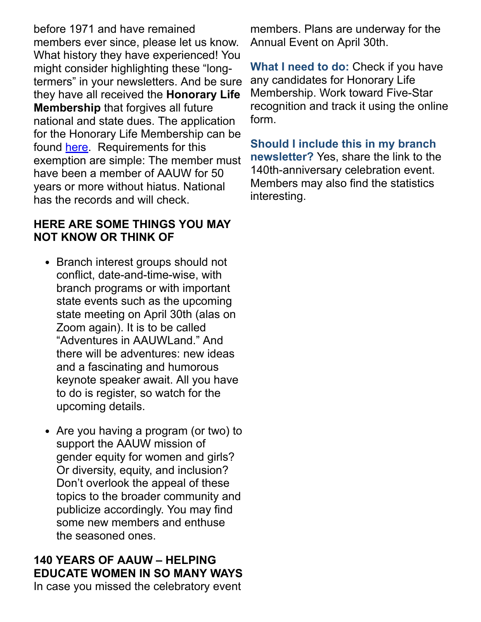before 1971 and have remained members ever since, please let us know. What history they have experienced! You might consider highlighting these "longtermers" in your newsletters. And be sure they have all received the **Honorary Life Membership** that forgives all future national and state dues. The application for the Honorary Life Membership can be found [here.](https://www.aauw-ca.org/documents/2021/04/aauw-honorary-life-membership-application.doc) Requirements for this exemption are simple: The member must have been a member of AAUW for 50 years or more without hiatus. National has the records and will check.

#### **HERE ARE SOME THINGS YOU MAY NOT KNOW OR THINK OF**

- Branch interest groups should not conflict, date-and-time-wise, with branch programs or with important state events such as the upcoming state meeting on April 30th (alas on Zoom again). It is to be called "Adventures in AAUWLand." And there will be adventures: new ideas and a fascinating and humorous keynote speaker await. All you have to do is register, so watch for the upcoming details.
- Are you having a program (or two) to support the AAUW mission of gender equity for women and girls? Or diversity, equity, and inclusion? Don't overlook the appeal of these topics to the broader community and publicize accordingly. You may find some new members and enthuse the seasoned ones.

### **140 YEARS OF AAUW – HELPING EDUCATE WOMEN IN SO MANY WAYS**

In case you missed the celebratory event

members. Plans are underway for the Annual Event on April 30th.

**What I need to do:** Check if you have any candidates for Honorary Life Membership. Work toward Five-Star recognition and track it using the online form.

**Should I include this in my branch newsletter?** Yes, share the link to the 140th-anniversary celebration event. Members may also find the statistics interesting.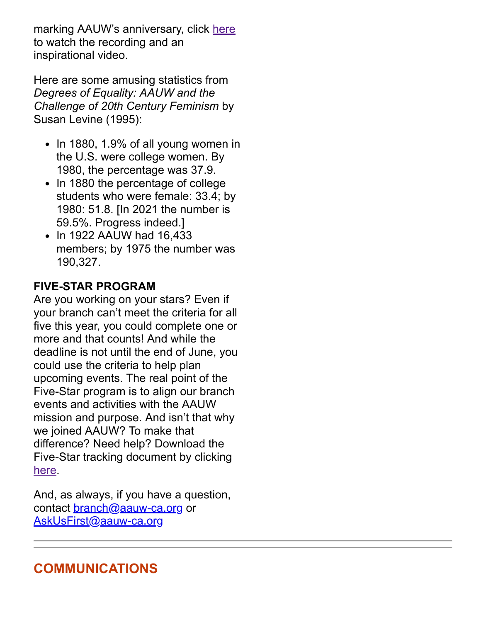marking AAUW's anniversary, click [here](https://www.aauw-ca.org/aauw-celebrates-140-years-of-research-education-advocacy/) to watch the recording and an inspirational video.

Here are some amusing statistics from *Degrees of Equality: AAUW and the Challenge of 20th Century Feminism* by Susan Levine (1995):

- $\cdot$  In 1880, 1.9% of all young women in the U.S. were college women. By 1980, the percentage was 37.9.
- In 1880 the percentage of college students who were female: 33.4; by 1980: 51.8. [In 2021 the number is 59.5%. Progress indeed.]
- In 1922 AAUW had 16,433 members; by 1975 the number was 190,327.

### **FIVE-STAR PROGRAM**

Are you working on your stars? Even if your branch can't meet the criteria for all five this year, you could complete one or more and that counts! And while the deadline is not until the end of June, you could use the criteria to help plan upcoming events. The real point of the Five-Star program is to align our branch events and activities with the AAUW mission and purpose. And isn't that why we joined AAUW? To make that difference? Need help? Download the Five-Star tracking document by clicking [here.](https://www.aauw-ca.org/the-aauw-5-star-program/)

And, as always, if you have a question, contact [branch@aauw-ca.org](mailto:branch@aauw-ca.org) or [AskUsFirst@aauw-ca.org](mailto:AskUsFirst@aauw-ca.org)

# **COMMUNICATIONS**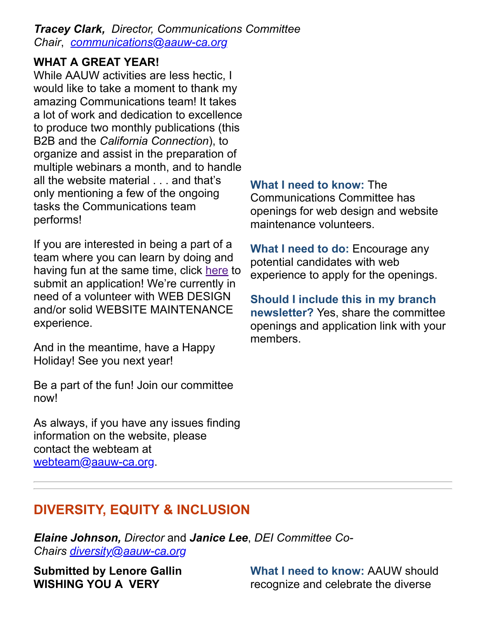*Tracey Clark, Director, Communications Committee Chair*, *[communications@aauw-ca.org](mailto:Communications@aauw-ca.org)*

#### **WHAT A GREAT YEAR!**

While AAUW activities are less hectic, I would like to take a moment to thank my amazing Communications team! It takes a lot of work and dedication to excellence to produce two monthly publications (this B2B and the *California Connection*), to organize and assist in the preparation of multiple webinars a month, and to handle all the website material . . . and that's only mentioning a few of the ongoing tasks the Communications team performs!

If you are interested in being a part of a team where you can learn by doing and having fun at the same time, click [here](https://www.aauw-ca.org/aauw-california-committees/) to submit an application! We're currently in need of a volunteer with WEB DESIGN and/or solid WEBSITE MAINTENANCE experience.

And in the meantime, have a Happy Holiday! See you next year!

Be a part of the fun! Join our committee now!

As always, if you have any issues finding information on the website, please contact the webteam at [webteam@aauw-ca.org.](mailto:webteam@aauw-ca.org)

#### **What I need to know:** The

Communications Committee has openings for web design and website maintenance volunteers.

**What I need to do:** Encourage any potential candidates with web experience to apply for the openings.

**Should I include this in my branch newsletter?** Yes, share the committee openings and application link with your members.

# **DIVERSITY, EQUITY & INCLUSION**

*Elaine Johnson, Director* and *Janice Lee*, *DEI Committee Co-Chairs [diversity@aauw-ca.org](mailto:diversity@aauw-ca.org)*

**Submitted by Lenore Gallin WISHING YOU A VERY**

**What I need to know:** AAUW should recognize and celebrate the diverse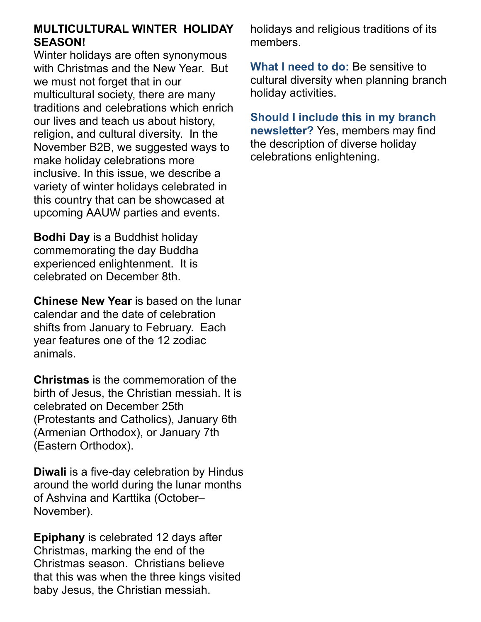#### **MULTICULTURAL WINTER HOLIDAY SEASON!**

Winter holidays are often synonymous with Christmas and the New Year. But we must not forget that in our multicultural society, there are many traditions and celebrations which enrich our lives and teach us about history, religion, and cultural diversity. In the November B2B, we suggested ways to make holiday celebrations more inclusive. In this issue, we describe a variety of winter holidays celebrated in this country that can be showcased at upcoming AAUW parties and events.

**Bodhi Day** is a Buddhist holiday commemorating the day Buddha experienced enlightenment. It is celebrated on December 8th.

**Chinese New Year** is based on the lunar calendar and the date of celebration shifts from January to February. Each year features one of the 12 zodiac animals.

**Christmas** is the commemoration of the birth of Jesus, the Christian messiah. It is celebrated on December 25th (Protestants and Catholics), January 6th (Armenian Orthodox), or January 7th (Eastern Orthodox).

**Diwali** is a five-day celebration by Hindus around the world during the lunar months of Ashvina and Karttika (October– November).

**Epiphany** is celebrated 12 days after Christmas, marking the end of the Christmas season. Christians believe that this was when the three kings visited baby Jesus, the Christian messiah.

holidays and religious traditions of its members.

**What I need to do:** Be sensitive to cultural diversity when planning branch holiday activities.

**Should I include this in my branch newsletter?** Yes, members may find the description of diverse holiday celebrations enlightening.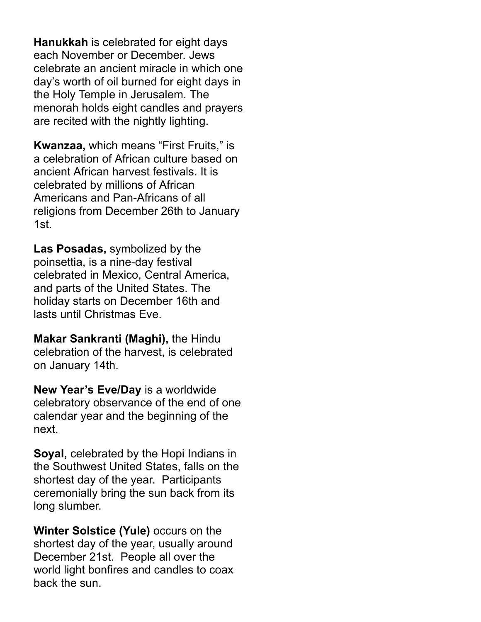**Hanukkah** is celebrated for eight days each November or December. Jews celebrate an ancient miracle in which one day's worth of oil burned for eight days in the Holy Temple in Jerusalem. The menorah holds eight candles and prayers are recited with the nightly lighting.

**Kwanzaa,** which means "First Fruits," is a celebration of African culture based on ancient African harvest festivals. It is celebrated by millions of African Americans and Pan-Africans of all religions from December 26th to January 1st.

**Las Posadas,** symbolized by the poinsettia, is a nine-day festival celebrated in Mexico, Central America, and parts of the United States. The holiday starts on December 16th and lasts until Christmas Eve.

**Makar Sankranti (Maghi),** the Hindu celebration of the harvest, is celebrated on January 14th.

**New Year's Eve/Day** is a worldwide celebratory observance of the end of one calendar year and the beginning of the next.

**Soyal,** celebrated by the Hopi Indians in the Southwest United States, falls on the shortest day of the year. Participants ceremonially bring the sun back from its long slumber.

**Winter Solstice (Yule)** occurs on the shortest day of the year, usually around December 21st. People all over the world light bonfires and candles to coax back the sun.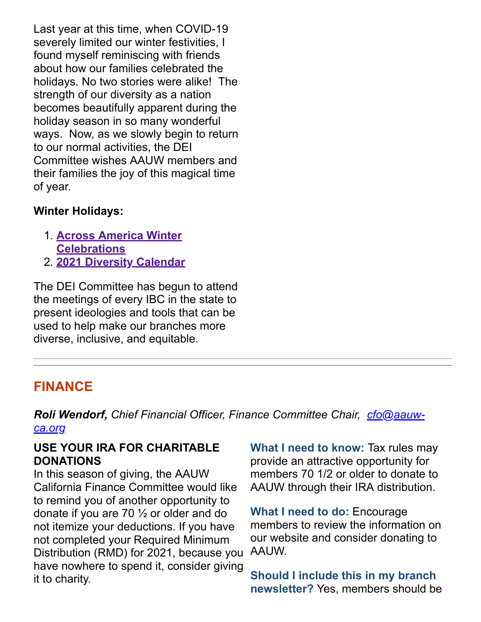Last year at this time, when COVID-19 severely limited our winter festivities, I found myself reminiscing with friends about how our families celebrated the holidays. No two stories were alike! The strength of our diversity as a nation becomes beautifully apparent during the holiday season in so many wonderful ways. Now, as we slowly begin to return to our normal activities, the DEI Committee wishes AAUW members and their families the joy of this magical time of year.

#### **Winter Holidays:**

- 1. **[Across America Winter](https://share.america.gov/across-america-winter-celebrations/) Celebrations**
- 2. **[2021 Diversity Calendar](https://www.diversityresources.com/2021-diversity-calendar/)**

The DEI Committee has begun to attend the meetings of every IBC in the state to present ideologies and tools that can be used to help make our branches more diverse, inclusive, and equitable.

## **FINANCE**

*Roli Wendorf, [Chief Financial Officer, Finance Committee Chair, cfo@aauw](mailto:cfo@aauw-ca.org)ca.org*

#### <span id="page-7-0"></span>**USE YOUR IRA FOR CHARITABLE DONATIONS**

In this season of giving, the AAUW California Finance Committee would like to remind you of another opportunity to donate if you are 70 ½ or older and do not itemize your deductions. If you have not completed your Required Minimum Distribution (RMD) for 2021, because you have nowhere to spend it, consider giving it to charity.

**What I need to know:** Tax rules may provide an attractive opportunity for members 70 1/2 or older to donate to AAUW through their IRA distribution.

**What I need to do:** Encourage members to review the information on our website and consider donating to AAUW.

**Should I include this in my branch newsletter?** Yes, members should be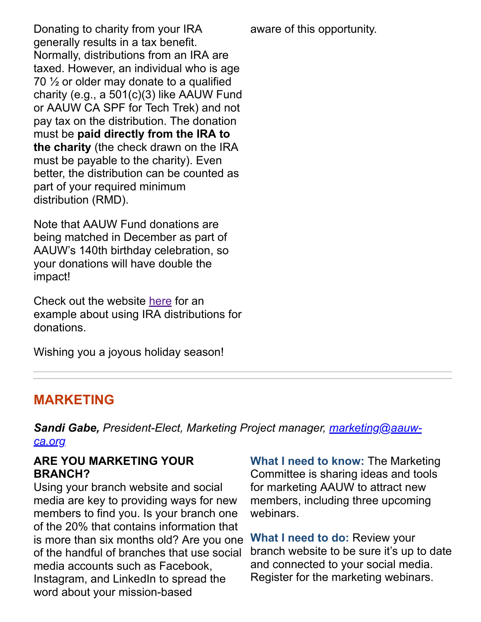aware of this opportunity.

Donating to charity from your IRA generally results in a tax benefit. Normally, distributions from an IRA are taxed. However, an individual who is age 70 ½ or older may donate to a qualified charity (e.g., a 501(c)(3) like AAUW Fund or AAUW CA SPF for Tech Trek) and not pay tax on the distribution. The donation must be **paid directly from the IRA to the charity** (the check drawn on the IRA must be payable to the charity). Even better, the distribution can be counted as part of your required minimum distribution (RMD).

Note that AAUW Fund donations are being matched in December as part of AAUW's 140th birthday celebration, so your donations will have double the impact!

Check out the website [here](https://www.aauw-ca.org/fundraising/) for an example about using IRA distributions for donations.

Wishing you a joyous holiday season!

## **MARKETING**

*Sandi Gabe, [President-Elect, Marketing Project manager, marketing@aauw](mailto:marketing@aauw-ca.org)ca.org*

#### **ARE YOU MARKETING YOUR BRANCH?**

Using your branch website and social media are key to providing ways for new members to find you. Is your branch one of the 20% that contains information that is more than six months old? Are you one of the handful of branches that use social media accounts such as Facebook, Instagram, and LinkedIn to spread the word about your mission-based

**What I need to know:** The Marketing Committee is sharing ideas and tools for marketing AAUW to attract new members, including three upcoming webinars.

**What I need to do:** Review your branch website to be sure it's up to date and connected to your social media. Register for the marketing webinars.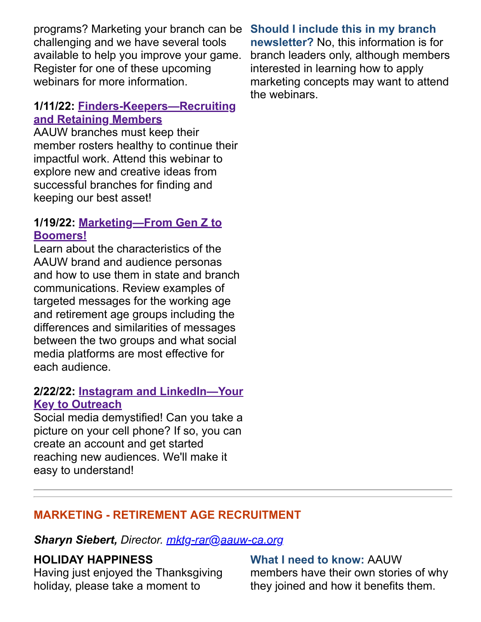programs? Marketing your branch can be challenging and we have several tools available to help you improve your game. Register for one of these upcoming webinars for more information.

#### **1/11/22: [Finders-Keepers—Recruiting](https://www.aauw-ca.org/finders-keepers-recruiting-and-retaining-members/) and Retaining Members**

AAUW branches must keep their member rosters healthy to continue their impactful work. Attend this webinar to explore new and creative ideas from successful branches for finding and keeping our best asset!

#### **1/19/22: [Marketing—From Gen Z to](https://www.aauw-ca.org/marketing-from-gen-z-to-boomers/) Boomers!**

Learn about the characteristics of the AAUW brand and audience personas and how to use them in state and branch communications. Review examples of targeted messages for the working age and retirement age groups including the differences and similarities of messages between the two groups and what social media platforms are most effective for each audience.

#### **2/22/22: [Instagram and LinkedIn—Your](https://www.aauw-ca.org/instagram-and-linkedin-your-key-to-outreach/) Key to Outreach**

Social media demystified! Can you take a picture on your cell phone? If so, you can create an account and get started reaching new audiences. We'll make it easy to understand!

**Should I include this in my branch newsletter?** No, this information is for branch leaders only, although members interested in learning how to apply marketing concepts may want to attend the webinars.

### **MARKETING - RETIREMENT AGE RECRUITMENT**

*Sharyn Siebert, Director. [mktg-rar@aauw-ca.org](mailto:mktg-rar@aauw-ca.org)*

#### **HOLIDAY HAPPINESS**

Having just enjoyed the Thanksgiving holiday, please take a moment to

**What I need to know:** AAUW members have their own stories of why they joined and how it benefits them.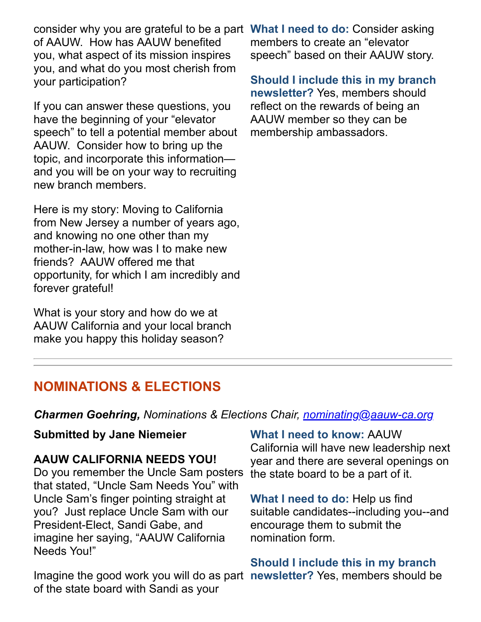consider why you are grateful to be a part **What I need to do:** Consider asking of AAUW. How has AAUW benefited you, what aspect of its mission inspires you, and what do you most cherish from your participation?

If you can answer these questions, you have the beginning of your "elevator speech" to tell a potential member about AAUW. Consider how to bring up the topic, and incorporate this information and you will be on your way to recruiting new branch members.

Here is my story: Moving to California from New Jersey a number of years ago, and knowing no one other than my mother-in-law, how was I to make new friends? AAUW offered me that opportunity, for which I am incredibly and forever grateful!

What is your story and how do we at AAUW California and your local branch make you happy this holiday season?

members to create an "elevator speech" based on their AAUW story.

**Should I include this in my branch newsletter?** Yes, members should reflect on the rewards of being an AAUW member so they can be membership ambassadors.

## **NOMINATIONS & ELECTIONS**

*Charmen Goehring, Nominations & Elections Chair, [nominating@aauw-ca.org](mailto:nominating@aauw-ca.org)*

#### **Submitted by Jane Niemeier**

#### **AAUW CALIFORNIA NEEDS YOU!**

Do you remember the Uncle Sam posters that stated, "Uncle Sam Needs You" with Uncle Sam's finger pointing straight at you? Just replace Uncle Sam with our President-Elect, Sandi Gabe, and imagine her saying, "AAUW California Needs You!"

Imagine the good work you will do as part **newsletter?** Yes, members should beof the state board with Sandi as your

#### **What I need to know:** AAUW

California will have new leadership next year and there are several openings on the state board to be a part of it.

**What I need to do:** Help us find suitable candidates--including you--and encourage them to submit the nomination form.

#### **Should I include this in my branch**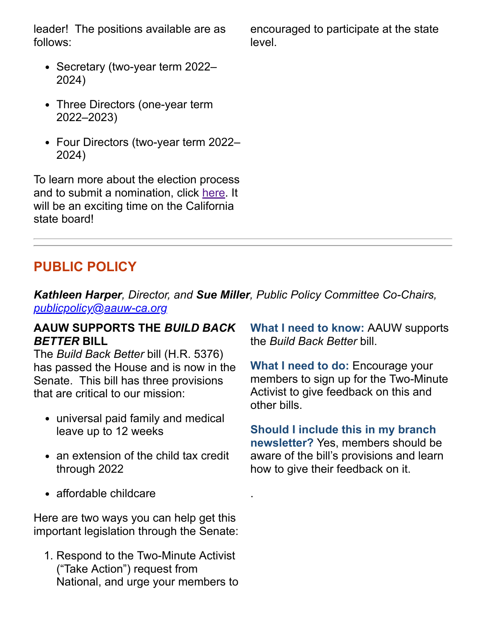leader! The positions available are as follows:

- Secretary (two-year term 2022-2024)
- Three Directors (one-year term 2022–2023)
- Four Directors (two-year term 2022– 2024)

To learn more about the election process and to submit a nomination, click [here.](https://www.aauw-ca.org/category/aauw-ca-nominations-and-elections/) It will be an exciting time on the California state board!

### **PUBLIC POLICY**

*Kathleen Harper, Director, and Sue Miller, Public Policy Committee Co-Chairs, [publicpolicy@aauw-ca.org](mailto:PublicPolicy@aauw-ca.org)*

.

#### **AAUW SUPPORTS THE** *BUILD BACK BETTER* **BILL**

The *Build Back Better* bill (H.R. 5376) has passed the House and is now in the Senate. This bill has three provisions that are critical to our mission:

- universal paid family and medical leave up to 12 weeks
- an extension of the child tax credit through 2022
- affordable childcare

Here are two ways you can help get this important legislation through the Senate:

1. Respond to the Two-Minute Activist ("Take Action") request from National, and urge your members to encouraged to participate at the state level.

**What I need to know:** AAUW supports the *Build Back Better* bill.

**What I need to do:** Encourage your members to sign up for the Two-Minute Activist to give feedback on this and other bills.

**Should I include this in my branch newsletter?** Yes, members should be aware of the bill's provisions and learn how to give their feedback on it.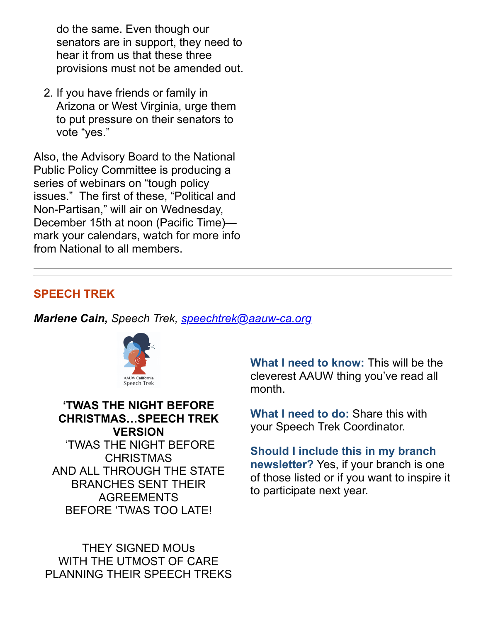do the same. Even though our senators are in support, they need to hear it from us that these three provisions must not be amended out.

2. If you have friends or family in Arizona or West Virginia, urge them to put pressure on their senators to vote "yes."

Also, the Advisory Board to the National Public Policy Committee is producing a series of webinars on "tough policy issues." The first of these, "Political and Non-Partisan," will air on Wednesday, December 15th at noon (Pacific Time) mark your calendars, watch for more info from National to all members.

#### **SPEECH TREK**

*Marlene Cain, Speech Trek, [speechtrek@aauw-ca.org](mailto:speechtrek@aauw-ca.org)*



**'TWAS THE NIGHT BEFORE CHRISTMAS…SPEECH TREK VERSION** 'TWAS THE NIGHT BEFORE **CHRISTMAS** AND ALL THROUGH THE STATE BRANCHES SENT THEIR AGREEMENTS BEFORE 'TWAS TOO LATE!

THEY SIGNED MOUs WITH THE UTMOST OF CARE PLANNING THEIR SPEECH TREKS

**What I need to know:** This will be the cleverest AAUW thing you've read all month.

**What I need to do:** Share this with your Speech Trek Coordinator.

**Should I include this in my branch newsletter?** Yes, if your branch is one of those listed or if you want to inspire it to participate next year.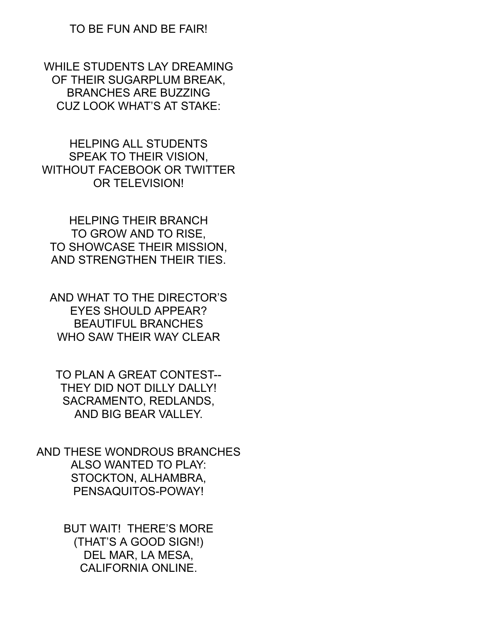#### TO BE FUN AND BE FAIR!

WHILE STUDENTS LAY DREAMING OF THEIR SUGARPLUM BREAK, BRANCHES ARE BUZZING CUZ LOOK WHAT'S AT STAKE:

HELPING ALL STUDENTS SPEAK TO THEIR VISION, WITHOUT FACEBOOK OR TWITTER OR TELEVISION!

HELPING THEIR BRANCH TO GROW AND TO RISE, TO SHOWCASE THEIR MISSION, AND STRENGTHEN THEIR TIES.

AND WHAT TO THE DIRECTOR'S EYES SHOULD APPEAR? BEAUTIFUL BRANCHES WHO SAW THEIR WAY CLEAR

TO PLAN A GREAT CONTEST-- THEY DID NOT DILLY DALLY! SACRAMENTO, REDLANDS, AND BIG BEAR VALLEY.

AND THESE WONDROUS BRANCHES ALSO WANTED TO PLAY: STOCKTON, ALHAMBRA, PENSAQUITOS-POWAY!

> BUT WAIT! THERE'S MORE (THAT'S A GOOD SIGN!) DEL MAR, LA MESA, CALIFORNIA ONLINE.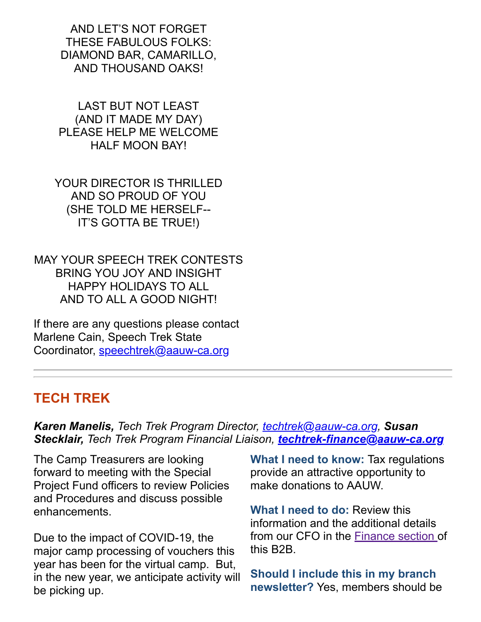AND LET'S NOT FORGET THESE FABULOUS FOLKS: DIAMOND BAR, CAMARILLO, AND THOUSAND OAKS!

LAST BUT NOT LEAST (AND IT MADE MY DAY) PLEASE HELP ME WELCOME HALF MOON BAY!

YOUR DIRECTOR IS THRILLED AND SO PROUD OF YOU (SHE TOLD ME HERSELF-- IT'S GOTTA BE TRUE!)

MAY YOUR SPEECH TREK CONTESTS BRING YOU JOY AND INSIGHT HAPPY HOLIDAYS TO ALL AND TO ALL A GOOD NIGHT!

If there are any questions please contact Marlene Cain, Speech Trek State Coordinator, [speechtrek@aauw-ca.org](mailto:speechtrek@aauw-ca.org)

### **TECH TREK**

*Karen Manelis, Tech Trek Program Director, [techtrek@aauw-ca.org,](mailto:techtrek@aauw-ca.org) Susan Stecklair, Tech Trek Program Financial Liaison, [techtrek-finance@aauw-ca.org](mailto:techtrek-finance@aauw-ca.org)*

The Camp Treasurers are looking forward to meeting with the Special Project Fund officers to review Policies and Procedures and discuss possible enhancements.

Due to the impact of COVID-19, the major camp processing of vouchers this year has been for the virtual camp. But, in the new year, we anticipate activity will be picking up.

**What I need to know:** Tax regulations provide an attractive opportunity to make donations to AAUW.

**What I need to do:** Review this information and the additional details from our CFO in the [Finance section](#page-7-0) of this B2B.

**Should I include this in my branch newsletter?** Yes, members should be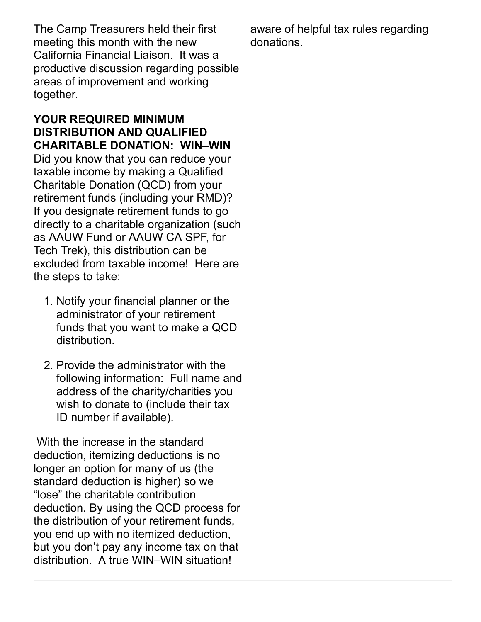The Camp Treasurers held their first meeting this month with the new California Financial Liaison. It was a productive discussion regarding possible areas of improvement and working together.

#### **YOUR REQUIRED MINIMUM DISTRIBUTION AND QUALIFIED CHARITABLE DONATION: WIN–WIN** Did you know that you can reduce your taxable income by making a Qualified Charitable Donation (QCD) from your

retirement funds (including your RMD)? If you designate retirement funds to go directly to a charitable organization (such as AAUW Fund or AAUW CA SPF, for Tech Trek), this distribution can be excluded from taxable income! Here are the steps to take:

- 1. Notify your financial planner or the administrator of your retirement funds that you want to make a QCD distribution.
- 2. Provide the administrator with the following information: Full name and address of the charity/charities you wish to donate to (include their tax ID number if available).

With the increase in the standard deduction, itemizing deductions is no longer an option for many of us (the standard deduction is higher) so we "lose" the charitable contribution deduction. By using the QCD process for the distribution of your retirement funds, you end up with no itemized deduction, but you don't pay any income tax on that distribution. A true WIN–WIN situation!

aware of helpful tax rules regarding donations.